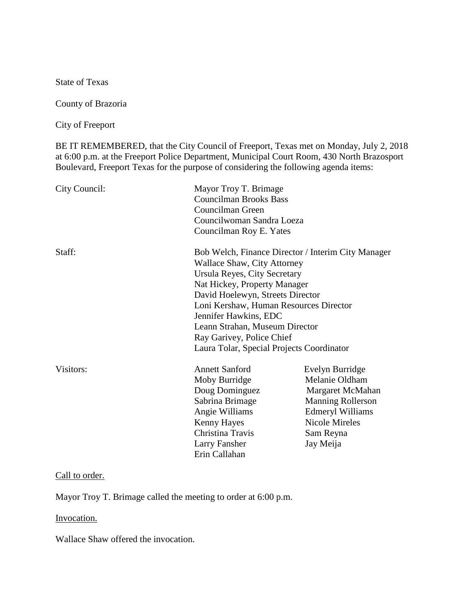State of Texas

County of Brazoria

City of Freeport

BE IT REMEMBERED, that the City Council of Freeport, Texas met on Monday, July 2, 2018 at 6:00 p.m. at the Freeport Police Department, Municipal Court Room, 430 North Brazosport Boulevard, Freeport Texas for the purpose of considering the following agenda items:

| City Council: | Mayor Troy T. Brimage<br><b>Councilman Brooks Bass</b><br>Councilman Green<br>Councilwoman Sandra Loeza<br>Councilman Roy E. Yates                                                                                                                                                                                                                                   |                                                                                                                                                                 |
|---------------|----------------------------------------------------------------------------------------------------------------------------------------------------------------------------------------------------------------------------------------------------------------------------------------------------------------------------------------------------------------------|-----------------------------------------------------------------------------------------------------------------------------------------------------------------|
| Staff:        | Bob Welch, Finance Director / Interim City Manager<br>Wallace Shaw, City Attorney<br>Ursula Reyes, City Secretary<br>Nat Hickey, Property Manager<br>David Hoelewyn, Streets Director<br>Loni Kershaw, Human Resources Director<br>Jennifer Hawkins, EDC<br>Leann Strahan, Museum Director<br>Ray Garivey, Police Chief<br>Laura Tolar, Special Projects Coordinator |                                                                                                                                                                 |
| Visitors:     | <b>Annett Sanford</b><br>Moby Burridge<br>Doug Dominguez<br>Sabrina Brimage<br>Angie Williams<br>Kenny Hayes<br>Christina Travis<br>Larry Fansher<br>Erin Callahan                                                                                                                                                                                                   | Evelyn Burridge<br>Melanie Oldham<br>Margaret McMahan<br><b>Manning Rollerson</b><br><b>Edmeryl Williams</b><br><b>Nicole Mireles</b><br>Sam Reyna<br>Jay Meija |

## Call to order.

Mayor Troy T. Brimage called the meeting to order at 6:00 p.m.

# Invocation.

Wallace Shaw offered the invocation.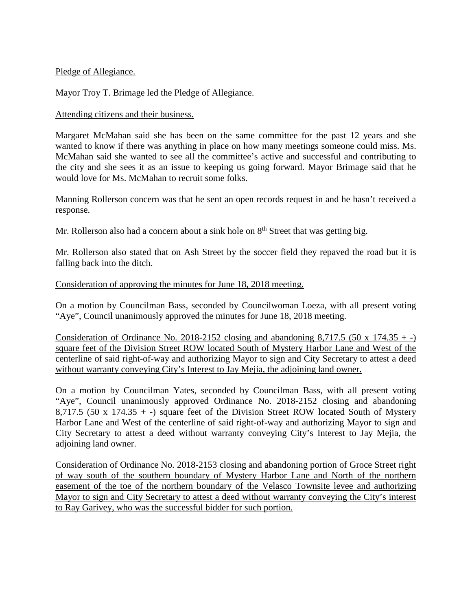### Pledge of Allegiance.

Mayor Troy T. Brimage led the Pledge of Allegiance.

## Attending citizens and their business.

Margaret McMahan said she has been on the same committee for the past 12 years and she wanted to know if there was anything in place on how many meetings someone could miss. Ms. McMahan said she wanted to see all the committee's active and successful and contributing to the city and she sees it as an issue to keeping us going forward. Mayor Brimage said that he would love for Ms. McMahan to recruit some folks.

Manning Rollerson concern was that he sent an open records request in and he hasn't received a response.

Mr. Rollerson also had a concern about a sink hole on  $8<sup>th</sup>$  Street that was getting big.

Mr. Rollerson also stated that on Ash Street by the soccer field they repaved the road but it is falling back into the ditch.

## Consideration of approving the minutes for June 18, 2018 meeting.

On a motion by Councilman Bass, seconded by Councilwoman Loeza, with all present voting "Aye", Council unanimously approved the minutes for June 18, 2018 meeting.

Consideration of Ordinance No. 2018-2152 closing and abandoning 8,717.5 (50 x 174.35  $+$ ) square feet of the Division Street ROW located South of Mystery Harbor Lane and West of the centerline of said right-of-way and authorizing Mayor to sign and City Secretary to attest a deed without warranty conveying City's Interest to Jay Mejia, the adjoining land owner.

On a motion by Councilman Yates, seconded by Councilman Bass, with all present voting "Aye", Council unanimously approved Ordinance No. 2018-2152 closing and abandoning 8,717.5 (50 x 174.35 + -) square feet of the Division Street ROW located South of Mystery Harbor Lane and West of the centerline of said right-of-way and authorizing Mayor to sign and City Secretary to attest a deed without warranty conveying City's Interest to Jay Mejia, the adjoining land owner.

Consideration of Ordinance No. 2018-2153 closing and abandoning portion of Groce Street right of way south of the southern boundary of Mystery Harbor Lane and North of the northern easement of the toe of the northern boundary of the Velasco Townsite levee and authorizing Mayor to sign and City Secretary to attest a deed without warranty conveying the City's interest to Ray Garivey, who was the successful bidder for such portion.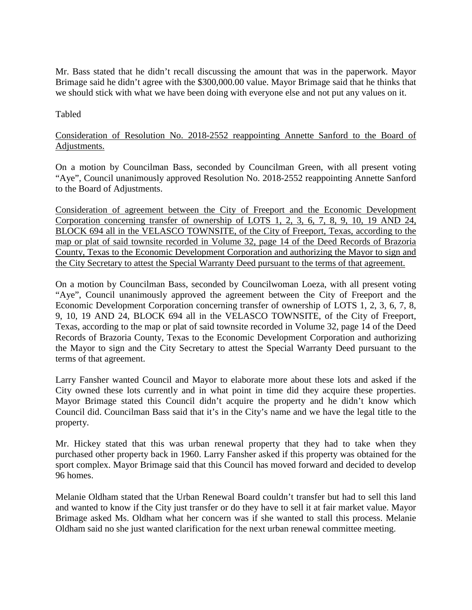Mr. Bass stated that he didn't recall discussing the amount that was in the paperwork. Mayor Brimage said he didn't agree with the \$300,000.00 value. Mayor Brimage said that he thinks that we should stick with what we have been doing with everyone else and not put any values on it.

Tabled

# Consideration of Resolution No. 2018-2552 reappointing Annette Sanford to the Board of Adjustments.

On a motion by Councilman Bass, seconded by Councilman Green, with all present voting "Aye", Council unanimously approved Resolution No. 2018-2552 reappointing Annette Sanford to the Board of Adjustments.

Consideration of agreement between the City of Freeport and the Economic Development Corporation concerning transfer of ownership of LOTS 1, 2, 3, 6, 7, 8, 9, 10, 19 AND 24, BLOCK 694 all in the VELASCO TOWNSITE, of the City of Freeport, Texas, according to the map or plat of said townsite recorded in Volume 32, page 14 of the Deed Records of Brazoria County, Texas to the Economic Development Corporation and authorizing the Mayor to sign and the City Secretary to attest the Special Warranty Deed pursuant to the terms of that agreement.

On a motion by Councilman Bass, seconded by Councilwoman Loeza, with all present voting "Aye", Council unanimously approved the agreement between the City of Freeport and the Economic Development Corporation concerning transfer of ownership of LOTS 1, 2, 3, 6, 7, 8, 9, 10, 19 AND 24, BLOCK 694 all in the VELASCO TOWNSITE, of the City of Freeport, Texas, according to the map or plat of said townsite recorded in Volume 32, page 14 of the Deed Records of Brazoria County, Texas to the Economic Development Corporation and authorizing the Mayor to sign and the City Secretary to attest the Special Warranty Deed pursuant to the terms of that agreement.

Larry Fansher wanted Council and Mayor to elaborate more about these lots and asked if the City owned these lots currently and in what point in time did they acquire these properties. Mayor Brimage stated this Council didn't acquire the property and he didn't know which Council did. Councilman Bass said that it's in the City's name and we have the legal title to the property.

Mr. Hickey stated that this was urban renewal property that they had to take when they purchased other property back in 1960. Larry Fansher asked if this property was obtained for the sport complex. Mayor Brimage said that this Council has moved forward and decided to develop 96 homes.

Melanie Oldham stated that the Urban Renewal Board couldn't transfer but had to sell this land and wanted to know if the City just transfer or do they have to sell it at fair market value. Mayor Brimage asked Ms. Oldham what her concern was if she wanted to stall this process. Melanie Oldham said no she just wanted clarification for the next urban renewal committee meeting.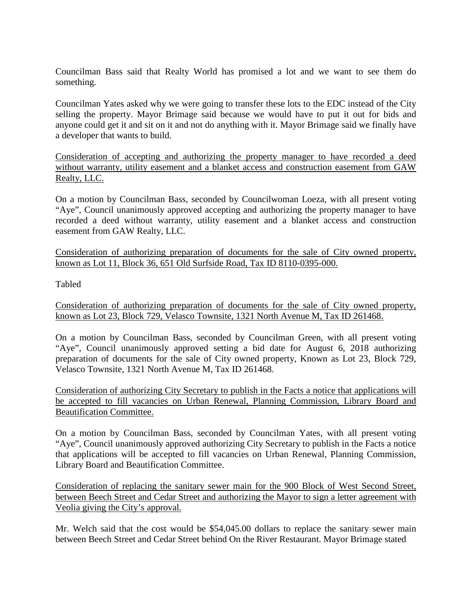Councilman Bass said that Realty World has promised a lot and we want to see them do something.

Councilman Yates asked why we were going to transfer these lots to the EDC instead of the City selling the property. Mayor Brimage said because we would have to put it out for bids and anyone could get it and sit on it and not do anything with it. Mayor Brimage said we finally have a developer that wants to build.

Consideration of accepting and authorizing the property manager to have recorded a deed without warranty, utility easement and a blanket access and construction easement from GAW Realty, LLC.

On a motion by Councilman Bass, seconded by Councilwoman Loeza, with all present voting "Aye", Council unanimously approved accepting and authorizing the property manager to have recorded a deed without warranty, utility easement and a blanket access and construction easement from GAW Realty, LLC.

Consideration of authorizing preparation of documents for the sale of City owned property, known as Lot 11, Block 36, 651 Old Surfside Road, Tax ID 8110-0395-000.

Tabled

Consideration of authorizing preparation of documents for the sale of City owned property, known as Lot 23, Block 729, Velasco Townsite, 1321 North Avenue M, Tax ID 261468.

On a motion by Councilman Bass, seconded by Councilman Green, with all present voting "Aye", Council unanimously approved setting a bid date for August 6, 2018 authorizing preparation of documents for the sale of City owned property, Known as Lot 23, Block 729, Velasco Townsite, 1321 North Avenue M, Tax ID 261468.

Consideration of authorizing City Secretary to publish in the Facts a notice that applications will be accepted to fill vacancies on Urban Renewal, Planning Commission, Library Board and Beautification Committee.

On a motion by Councilman Bass, seconded by Councilman Yates, with all present voting "Aye", Council unanimously approved authorizing City Secretary to publish in the Facts a notice that applications will be accepted to fill vacancies on Urban Renewal, Planning Commission, Library Board and Beautification Committee.

Consideration of replacing the sanitary sewer main for the 900 Block of West Second Street, between Beech Street and Cedar Street and authorizing the Mayor to sign a letter agreement with Veolia giving the City's approval.

Mr. Welch said that the cost would be \$54,045.00 dollars to replace the sanitary sewer main between Beech Street and Cedar Street behind On the River Restaurant. Mayor Brimage stated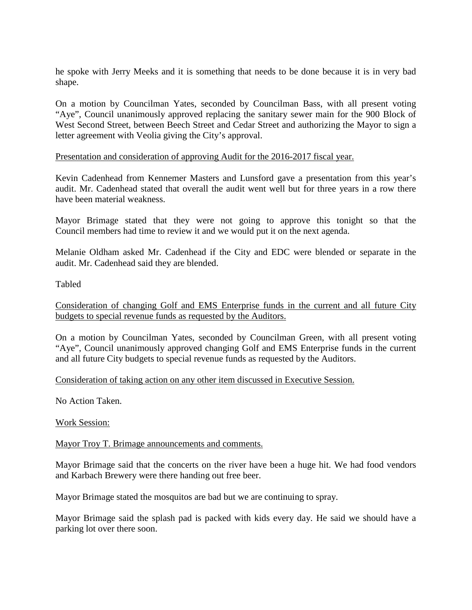he spoke with Jerry Meeks and it is something that needs to be done because it is in very bad shape.

On a motion by Councilman Yates, seconded by Councilman Bass, with all present voting "Aye", Council unanimously approved replacing the sanitary sewer main for the 900 Block of West Second Street, between Beech Street and Cedar Street and authorizing the Mayor to sign a letter agreement with Veolia giving the City's approval.

### Presentation and consideration of approving Audit for the 2016-2017 fiscal year.

Kevin Cadenhead from Kennemer Masters and Lunsford gave a presentation from this year's audit. Mr. Cadenhead stated that overall the audit went well but for three years in a row there have been material weakness.

Mayor Brimage stated that they were not going to approve this tonight so that the Council members had time to review it and we would put it on the next agenda.

Melanie Oldham asked Mr. Cadenhead if the City and EDC were blended or separate in the audit. Mr. Cadenhead said they are blended.

Tabled

Consideration of changing Golf and EMS Enterprise funds in the current and all future City budgets to special revenue funds as requested by the Auditors.

On a motion by Councilman Yates, seconded by Councilman Green, with all present voting "Aye", Council unanimously approved changing Golf and EMS Enterprise funds in the current and all future City budgets to special revenue funds as requested by the Auditors.

## Consideration of taking action on any other item discussed in Executive Session.

No Action Taken.

Work Session:

Mayor Troy T. Brimage announcements and comments.

Mayor Brimage said that the concerts on the river have been a huge hit. We had food vendors and Karbach Brewery were there handing out free beer.

Mayor Brimage stated the mosquitos are bad but we are continuing to spray.

Mayor Brimage said the splash pad is packed with kids every day. He said we should have a parking lot over there soon.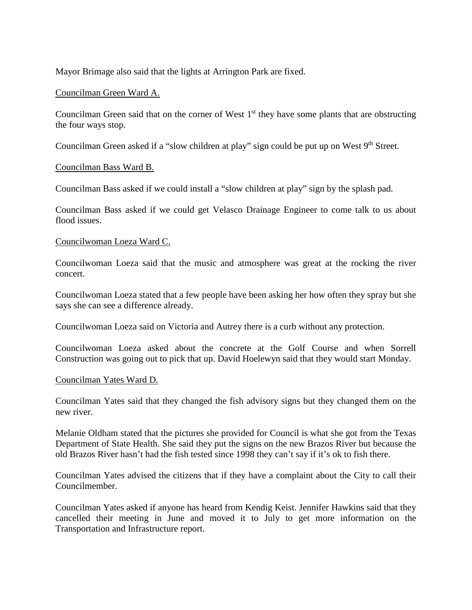Mayor Brimage also said that the lights at Arrington Park are fixed.

## Councilman Green Ward A.

Councilman Green said that on the corner of West  $1<sup>st</sup>$  they have some plants that are obstructing the four ways stop.

Councilman Green asked if a "slow children at play" sign could be put up on West 9<sup>th</sup> Street.

## Councilman Bass Ward B.

Councilman Bass asked if we could install a "slow children at play" sign by the splash pad.

Councilman Bass asked if we could get Velasco Drainage Engineer to come talk to us about flood issues.

#### Councilwoman Loeza Ward C.

Councilwoman Loeza said that the music and atmosphere was great at the rocking the river concert.

Councilwoman Loeza stated that a few people have been asking her how often they spray but she says she can see a difference already.

Councilwoman Loeza said on Victoria and Autrey there is a curb without any protection.

Councilwoman Loeza asked about the concrete at the Golf Course and when Sorrell Construction was going out to pick that up. David Hoelewyn said that they would start Monday.

#### Councilman Yates Ward D.

Councilman Yates said that they changed the fish advisory signs but they changed them on the new river.

Melanie Oldham stated that the pictures she provided for Council is what she got from the Texas Department of State Health. She said they put the signs on the new Brazos River but because the old Brazos River hasn't had the fish tested since 1998 they can't say if it's ok to fish there.

Councilman Yates advised the citizens that if they have a complaint about the City to call their Councilmember.

Councilman Yates asked if anyone has heard from Kendig Keist. Jennifer Hawkins said that they cancelled their meeting in June and moved it to July to get more information on the Transportation and Infrastructure report.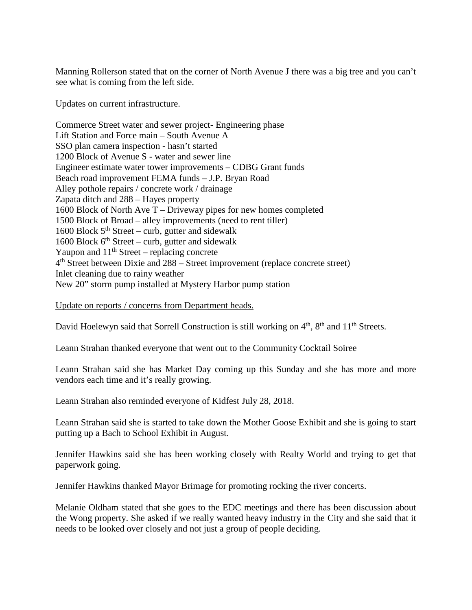Manning Rollerson stated that on the corner of North Avenue J there was a big tree and you can't see what is coming from the left side.

Updates on current infrastructure.

Commerce Street water and sewer project- Engineering phase Lift Station and Force main – South Avenue A SSO plan camera inspection - hasn't started 1200 Block of Avenue S - water and sewer line Engineer estimate water tower improvements – CDBG Grant funds Beach road improvement FEMA funds – J.P. Bryan Road Alley pothole repairs / concrete work / drainage Zapata ditch and 288 – Hayes property 1600 Block of North Ave T – Driveway pipes for new homes completed 1500 Block of Broad – alley improvements (need to rent tiller) 1600 Block  $5<sup>th</sup> Street - \text{curb}$ , gutter and sidewalk 1600 Block  $6<sup>th</sup> Street - \text{curb}$ , gutter and sidewalk Yaupon and  $11<sup>th</sup>$  Street – replacing concrete  $4<sup>th</sup>$  Street between Dixie and 288 – Street improvement (replace concrete street) Inlet cleaning due to rainy weather New 20" storm pump installed at Mystery Harbor pump station

## Update on reports / concerns from Department heads.

David Hoelewyn said that Sorrell Construction is still working on  $4<sup>th</sup>$ ,  $8<sup>th</sup>$  and  $11<sup>th</sup>$  Streets.

Leann Strahan thanked everyone that went out to the Community Cocktail Soiree

Leann Strahan said she has Market Day coming up this Sunday and she has more and more vendors each time and it's really growing.

Leann Strahan also reminded everyone of Kidfest July 28, 2018.

Leann Strahan said she is started to take down the Mother Goose Exhibit and she is going to start putting up a Bach to School Exhibit in August.

Jennifer Hawkins said she has been working closely with Realty World and trying to get that paperwork going.

Jennifer Hawkins thanked Mayor Brimage for promoting rocking the river concerts.

Melanie Oldham stated that she goes to the EDC meetings and there has been discussion about the Wong property. She asked if we really wanted heavy industry in the City and she said that it needs to be looked over closely and not just a group of people deciding.